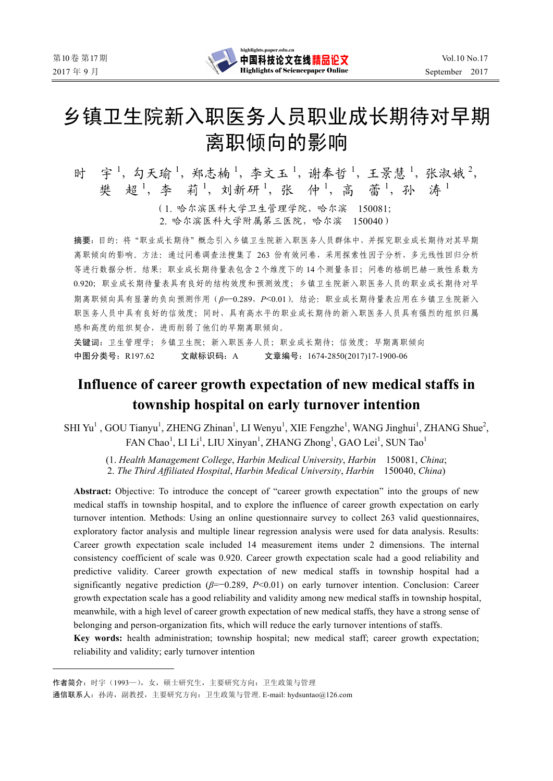

# 乡镇卫生院新入职医务人员职业成长期待对早期 离职倾向的影响

时 宇1, 勾天瑜1, 郑志楠1, 李文玉1, 谢奉哲1, 王景慧1, 张淑娥2, 樊 超1, 李 莉1, 刘新研1, 张 仲1, 高 蕾1, 孙 涛1

> (1. 哈尔滨医科大学卫生管理学院,哈尔滨 150081; 2. 哈尔滨医科大学附属第三医院,哈尔滨 150040)

摘要:目的:将"职业成长期待"概念引入乡镇卫生院新入职医务人员群体中,并探究职业成长期待对其早期 离职倾向的影响。方法:通过问卷调查法搜集了 263 份有效问卷,采用探索性因子分析、多元线性回归分析 等进行数据分析。结果:职业成长期待量表包含 2 个维度下的 14 个测量条目;问卷的格朗巴赫一致性系数为 0.920;职业成长期待量表具有良好的结构效度和预测效度;乡镇卫生院新入职医务人员的职业成长期待对早 期离职倾向具有显著的负向预测作用(*β*=−0.289,*P*<0.01)。结论:职业成长期待量表应用在乡镇卫生院新入 职医务人员中具有良好的信效度;同时,具有高水平的职业成长期待的新入职医务人员具有强烈的组织归属 感和高度的组织契合,进而削弱了他们的早期离职倾向。

关键词:卫生管理学;乡镇卫生院;新入职医务人员;职业成长期待;信效度;早期离职倾向 中图分类号:R197.62 文献标识码:A 文章编号:1674-2850(2017)17-1900-06

# **Influence of career growth expectation of new medical staffs in township hospital on early turnover intention**

SHI Yu<sup>1</sup>, GOU Tianyu<sup>1</sup>, ZHENG Zhinan<sup>1</sup>, LI Wenyu<sup>1</sup>, XIE Fengzhe<sup>1</sup>, WANG Jinghui<sup>1</sup>, ZHANG Shue<sup>2</sup>, FAN Chao<sup>1</sup>, LI Li<sup>1</sup>, LIU Xinyan<sup>1</sup>, ZHANG Zhong<sup>1</sup>, GAO Lei<sup>1</sup>, SUN Tao<sup>1</sup>

(1. *Health Management College*, *Harbin Medical University*, *Harbin* 150081, *China*;

2. *The Third Affiliated Hospital*, *Harbin Medical University*, *Harbin* 150040, *China*)

**Abstract:** Objective: To introduce the concept of "career growth expectation" into the groups of new medical staffs in township hospital, and to explore the influence of career growth expectation on early turnover intention. Methods: Using an online questionnaire survey to collect 263 valid questionnaires, exploratory factor analysis and multiple linear regression analysis were used for data analysis. Results: Career growth expectation scale included 14 measurement items under 2 dimensions. The internal consistency coefficient of scale was 0.920. Career growth expectation scale had a good reliability and predictive validity. Career growth expectation of new medical staffs in township hospital had a significantly negative prediction (*β*=−0.289, *P*<0.01) on early turnover intention. Conclusion: Career growth expectation scale has a good reliability and validity among new medical staffs in township hospital, meanwhile, with a high level of career growth expectation of new medical staffs, they have a strong sense of belonging and person-organization fits, which will reduce the early turnover intentions of staffs.

**Key words:** health administration; township hospital; new medical staff; career growth expectation; reliability and validity; early turnover intention

作者简介:时宇(1993—),女,硕士研究生,主要研究方向:卫生政策与管理

通信联系人: 孙涛, 副教授, 主要研究方向: 卫生政策与管理. E-mail: hydsuntao@126.com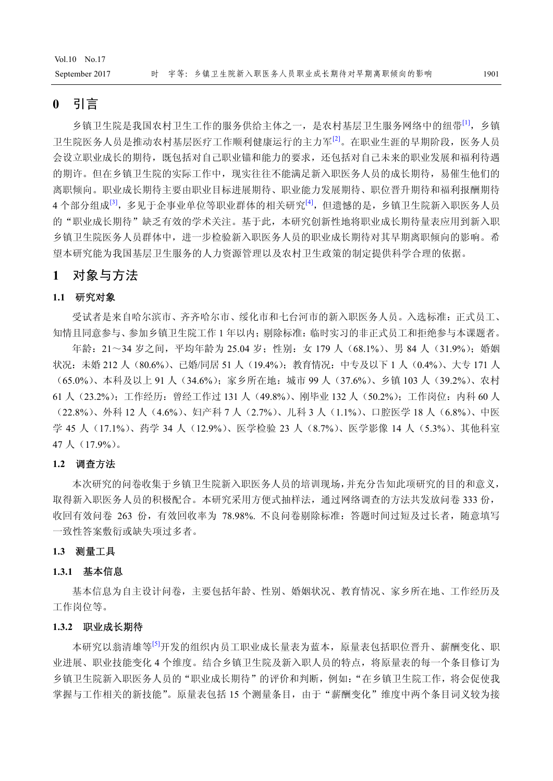# **0** 引言

乡镇卫生院是我国农村卫生工作的服务供给主体之一,是农村基层卫生服务网络中的纽带<sup>[1]</sup>,乡镇 卫生院医务人员是推动农村基层医疗工作顺利健康运行的主力军<sup>[2]</sup>。在职业生涯的早期阶段, 医务人员 会设立职业成长的期待,既包括对自己职业锚和能力的要求,还包括对自己未来的职业发展和福利待遇 的期许。但在乡镇卫生院的实际工作中,现实往往不能满足新入职医务人员的成长期待,易催生他们的 离职倾向。职业成长期待主要由职业目标进展期待、职业能力发展期待、职位晋升期待和福利报酬期待 4 个部分组成<sup>[3]</sup>,多见于企事业单位等职业群体的相关研究<sup>[4]</sup>,但遗憾的是,乡镇卫生院新入职医务人员 的"职业成长期待"缺乏有效的学术关注。基于此,本研究创新性地将职业成长期待量表应用到新入职 乡镇卫生院医务人员群体中,进一步检验新入职医务人员的职业成长期待对其早期离职倾向的影响。希 望本研究能为我国基层卫生服务的人力资源管理以及农村卫生政策的制定提供科学合理的依据。

# **1** 对象与方法

# **1.1** 研究对象

受试者是来自哈尔滨市、齐齐哈尔市、绥化市和七台河市的新入职医务人员。入选标准:正式员工、 知情且同意参与、参加乡镇卫生院工作 1 年以内;剔除标准:临时实习的非正式员工和拒绝参与本课题者。

年龄: 21~34 岁之间,平均年龄为 25.04 岁;性别: 女 179 人 (68.1%)、男 84 人 (31.9%);婚姻 状况:未婚 212 人 (80.6%)、已婚/同居 51 人 (19.4%);教育情况:中专及以下 1 人 (0.4%)、大专 171 人 (65.0%)、本科及以上 91 人(34.6%);家乡所在地:城市 99 人(37.6%)、乡镇 103 人(39.2%)、农村 61 人(23.2%);工作经历:曾经工作过 131 人(49.8%)、刚毕业 132 人(50.2%);工作岗位:内科 60 人 (22.8%)、外科 12 人(4.6%)、妇产科 7 人(2.7%)、儿科 3 人(1.1%)、口腔医学 18 人(6.8%)、中医 学 45 人 (17.1%)、药学 34 人 (12.9%)、医学检验 23 人 (8.7%)、医学影像 14 人 (5.3%)、其他科室 47 人(17.9%)。

# **1.2** 调查方法

本次研究的问卷收集于乡镇卫生院新入职医务人员的培训现场,并充分告知此项研究的目的和意义, 取得新入职医务人员的积极配合。本研究采用方便式抽样法,通过网络调查的方法共发放问卷 333 份, 收回有效问卷 263 份,有效回收率为 78.98%. 不良问卷剔除标准:答题时间过短及过长者,随意填写 一致性答案敷衍或缺失项过多者。

#### **1.3** 测量工具

# **1.3.1** 基本信息

基本信息为自主设计问卷,主要包括年龄、性别、婚姻状况、教育情况、家乡所在地、工作经历及 工作岗位等。

#### **1.3.2** 职业成长期待

本研究以翁清雄等<sup>[5]</sup>开发的组织内员工职业成长量表为蓝本,原量表包括职位晋升、薪酬变化、职 业进展、职业技能变化 4 个维度。结合乡镇卫生院及新入职人员的特点,将原量表的每一个条目修订为 乡镇卫生院新入职医务人员的"职业成长期待"的评价和判断,例如:"在乡镇卫生院工作,将会促使我 掌握与工作相关的新技能"。原量表包括 15 个测量条目,由于"薪酬变化"维度中两个条目词义较为接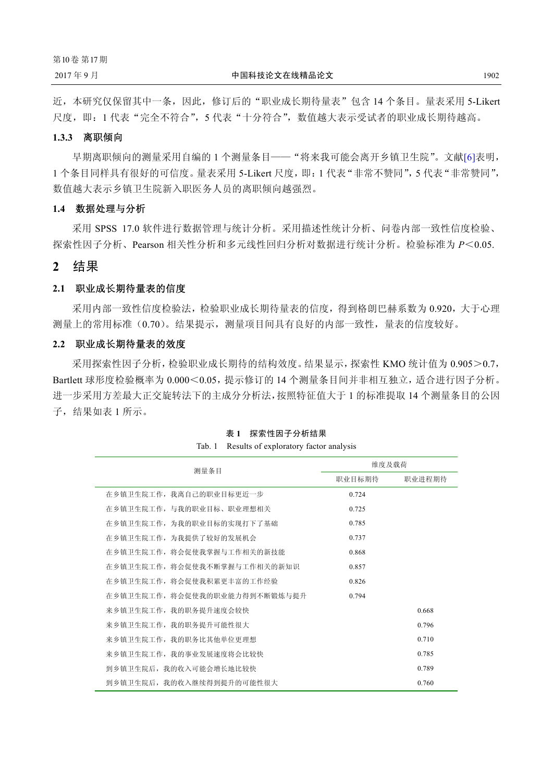近,本研究仅保留其中一条,因此,修订后的"职业成长期待量表"包含 14 个条目。量表采用 5-Likert 尺度,即: 1 代表"完全不符合", 5 代表"十分符合", 数值越大表示受试者的职业成长期待越高。

# **1.3.3** 离职倾向

早期离职倾向的测量采用自编的 1 个测量条目——"将来我可能会离开乡镇卫生院"。文献[6]表明, 1 个条目同样具有很好的可信度。量表采用 5-Likert 尺度,即:1 代表"非常不赞同",5 代表"非常赞同", 数值越大表示乡镇卫生院新入职医务人员的离职倾向越强烈。

# **1.4** 数据处理与分析

采用 SPSS 17.0 软件进行数据管理与统计分析。采用描述性统计分析、问卷内部一致性信度检验、 探索性因子分析、Pearson 相关性分析和多元线性回归分析对数据进行统计分析。检验标准为 *P*<0.05.

# **2** 结果

#### **2.1** 职业成长期待量表的信度

采用内部一致性信度检验法,检验职业成长期待量表的信度,得到格朗巴赫系数为 0.920,大于心理 测量上的常用标准(0.70)。结果提示,测量项目间具有良好的内部一致性,量表的信度较好。

# **2.2** 职业成长期待量表的效度

采用探索性因子分析,检验职业成长期待的结构效度。结果显示,探索性 KMO 统计值为 0.905>0.7, Bartlett 球形度检验概率为 0.000<0.05,提示修订的 14 个测量条目间并非相互独立,适合进行因子分析。 进一步采用方差最大正交旋转法下的主成分分析法,按照特征值大于 1 的标准提取 14 个测量条目的公因 子,结果如表 1 所示。

| 测量条目                          | 维度及载荷  |        |
|-------------------------------|--------|--------|
|                               | 职业目标期待 | 职业进程期待 |
| 在乡镇卫生院工作, 我离自己的职业目标更近一步       | 0.724  |        |
| 在乡镇卫生院工作, 与我的职业目标、职业理想相关      | 0.725  |        |
| 在乡镇卫生院工作, 为我的职业目标的实现打下了基础     | 0.785  |        |
| 在乡镇卫生院工作, 为我提供了较好的发展机会        | 0.737  |        |
| 在乡镇卫生院工作, 将会促使我掌握与工作相关的新技能    | 0.868  |        |
| 在乡镇卫生院工作,将会促使我不断掌握与工作相关的新知识   | 0.857  |        |
| 在乡镇卫生院工作, 将会促使我积累更丰富的工作经验     | 0.826  |        |
| 在乡镇卫生院工作, 将会促使我的职业能力得到不断锻炼与提升 | 0.794  |        |
| 来乡镇卫生院工作,我的职务提升速度会较快          |        | 0.668  |
| 来乡镇卫生院工作, 我的职务提升可能性很大         |        | 0.796  |
| 来乡镇卫生院工作, 我的职务比其他单位更理想        |        | 0.710  |
| 来乡镇卫生院工作,我的事业发展速度将会比较快        |        | 0.785  |
| 到乡镇卫生院后,我的收入可能会增长地比较快         |        | 0.789  |
| 到乡镇卫生院后, 我的收入继续得到提升的可能性很大     |        | 0.760  |

表 **1** 探索性因子分析结果 Tab. 1 Results of exploratory factor analysis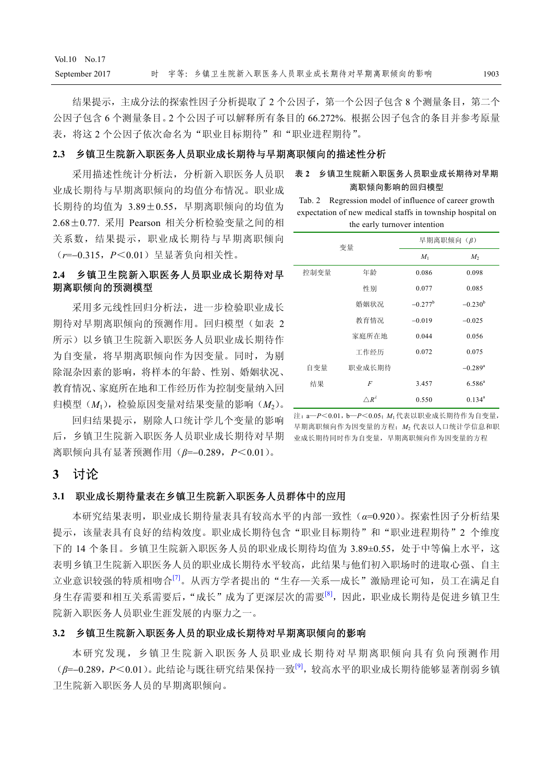结果提示,主成分法的探索性因子分析提取了2个公因子,第一个公因子包含 8 个测量条目, 第二个 公因子包含 6 个测量条目。2 个公因子可以解释所有条目的 66.272%. 根据公因子包含的条目并参考原量 表,将这2个公因子依次命名为"职业目标期待"和"职业进程期待"。

# **2.3** 乡镇卫生院新入职医务人员职业成长期待与早期离职倾向的描述性分析

采用描述性统计分析法,分析新入职医务人员职 表 **2** 乡镇卫生院新入职医务人员职业成长期待对早期 业成长期待与早期离职倾向的均值分布情况。职业成 长期待的均值为 3.89±0.55,早期离职倾向的均值为 2.68±0.77. 采用 Pearson 相关分析检验变量之间的相 关系数,结果提示,职业成长期待与早期离职倾向 (*r*=−0.315,*P*<0.01)呈显著负向相关性。

# **2.4** 乡镇卫生院新入职医务人员职业成长期待对早 期离职倾向的预测模型

采用多元线性回归分析法,进一步检验职业成长 期待对早期离职倾向的预测作用。回归模型(如表 2 所示)以乡镇卫生院新入职医务人员职业成长期待作 为自变量,将早期离职倾向作为因变量。同时,为剔 除混杂因素的影响,将样本的年龄、性别、婚姻状况、 教育情况、家庭所在地和工作经历作为控制变量纳入回 归模型(*M*1),检验原因变量对结果变量的影响(*M*2)。

回归结果提示,剔除人口统计学几个变量的影响 后,乡镇卫生院新入职医务人员职业成长期待对早期 离职倾向具有显著预测作用(*β*=−0.289,*P*<0.01)。

离职倾向影响的回归模型

Tab. 2 Regression model of influence of career growth expectation of new medical staffs in township hospital on the early turnover intention

| 变量   |                 | 早期离职倾向 (β)       |                       |
|------|-----------------|------------------|-----------------------|
|      |                 | $M_1$            | M <sub>2</sub>        |
| 控制变量 | 年龄              | 0.086            | 0.098                 |
|      | 性别              | 0.077            | 0.085                 |
|      | 婚姻状况            | $-0.277^{\rm b}$ | $-0.230^b$            |
|      | 教育情况            | $-0.019$         | $-0.025$              |
|      | 家庭所在地           | 0.044            | 0.056                 |
|      | 工作经历            | 0.072            | 0.075                 |
| 自变量  | 职业成长期待          |                  | $-0.289$ <sup>a</sup> |
| 结果   | F               | 3.457            | $6.586^{a}$           |
|      | $\triangle R^2$ | 0.550            | $0.134^a$             |

注:a—*P*<0.01,b—*P*<0.05;*M*<sup>1</sup> 代表以职业成长期待作为自变量, 早期离职倾向作为因变量的方程;*M*<sup>2</sup> 代表以人口统计学信息和职 业成长期待同时作为自变量,早期离职倾向作为因变量的方程

# **3** 讨论

# **3.1** 职业成长期待量表在乡镇卫生院新入职医务人员群体中的应用

本研究结果表明,职业成长期待量表具有较高水平的内部一致性(*α*=0.920)。探索性因子分析结果 提示,该量表具有良好的结构效度。职业成长期待包含"职业目标期待"和"职业进程期待"2 个维度 下的 14 个条目。乡镇卫生院新入职医务人员的职业成长期待均值为 3.89±0.55,处于中等偏上水平,这 表明乡镇卫生院新入职医务人员的职业成长期待水平较高,此结果与他们初入职场时的进取心强、自主 立业意识较强的特质相吻合<sup>[7]</sup>。从西方学者提出的"生存—关系—成长"激励理论可知,员工在满足自 身生存需要和相互关系需要后,"成长"成为了更深层次的需要<sup>[8]</sup>,因此,职业成长期待是促进乡镇卫生 院新入职医务人员职业生涯发展的内驱力之一。

# **3.2** 乡镇卫生院新入职医务人员的职业成长期待对早期离职倾向的影响

本研究发现,乡镇卫生院新入职医务人员职业成长期待对早期离职倾向具有负向预测作用 (*β*=−0.289,*P*<0.01)。此结论与既往研究结果保持一致[9],较高水平的职业成长期待能够显著削弱乡镇 卫生院新入职医务人员的早期离职倾向。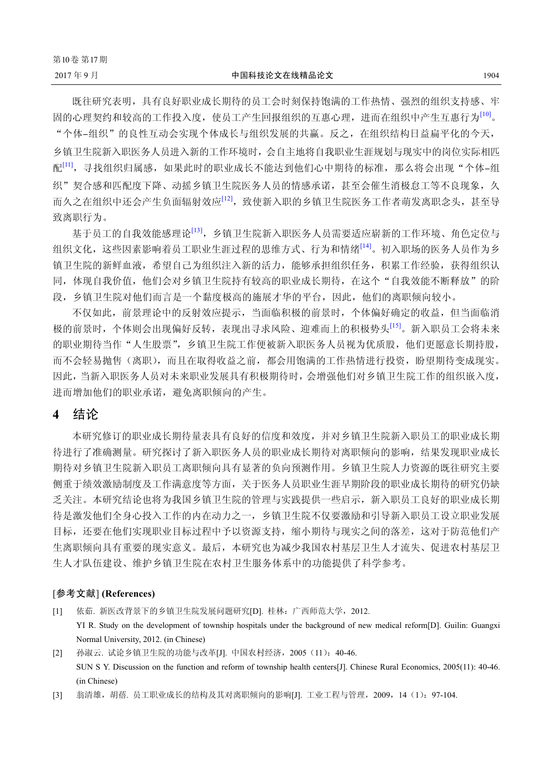既往研究表明,具有良好职业成长期待的员工会时刻保持饱满的工作热情、强烈的组织支持感、牢 固的心理契约和较高的工作投入度,使员工产生回报组织的互惠心理,进而在组织中产生互惠行为[10]。 "个体-组织"的良性互动会实现个体成长与组织发展的共赢。反之,在组织结构日益扁平化的今天, 乡镇卫生院新入职医务人员进入新的工作环境时,会自主地将自我职业生涯规划与现实中的岗位实际相匹 配[11],寻找组织归属感,如果此时的职业成长不能达到他们心中期待的标准,那么将会出现"个体-组 织"契合感和匹配度下降、动摇乡镇卫生院医务人员的情感承诺,甚至会催生消极怠工等不良现象,久 而久之在组织中还会产生负面辐射效应<sup>[12]</sup>,致使新入职的乡镇卫生院医务工作者萌发离职念头,甚至导 致离职行为。

基于员工的自我效能感理论[13],乡镇卫生院新入职医务人员需要适应崭新的工作环境、角色定位与 组织文化,这些因素影响着员工职业生涯过程的思维方式、行为和情绪[14]。初入职场的医务人员作为乡 镇卫生院的新鲜血液,希望自己为组织注入新的活力,能够承担组织任务,积累工作经验,获得组织认 同,体现自我价值,他们会对乡镇卫生院持有较高的职业成长期待,在这个"自我效能不断释放"的阶 段,乡镇卫生院对他们而言是一个黏度极高的施展才华的平台,因此,他们的离职倾向较小。

不仅如此,前景理论中的反射效应提示,当面临积极的前景时,个体偏好确定的收益,但当面临消 极的前景时,个体则会出现偏好反转,表现出寻求风险、迎难而上的积极势头[15]。新入职员工会将未来 的职业期待当作"人生股票",乡镇卫生院工作便被新入职医务人员视为优质股,他们更愿意长期持股, 而不会轻易抛售(离职),而且在取得收益之前,都会用饱满的工作热情进行投资,盼望期待变成现实。 因此,当新入职医务人员对未来职业发展具有积极期待时,会增强他们对乡镇卫生院工作的组织嵌入度, 进而增加他们的职业承诺,避免离职倾向的产生。

# **4** 结论

本研究修订的职业成长期待量表具有良好的信度和效度,并对乡镇卫生院新入职员工的职业成长期 待进行了准确测量。研究探讨了新入职医务人员的职业成长期待对离职倾向的影响,结果发现职业成长 期待对乡镇卫生院新入职员工离职倾向具有显著的负向预测作用。乡镇卫生院人力资源的既往研究主要 侧重于绩效激励制度及工作满意度等方面,关于医务人员职业生涯早期阶段的职业成长期待的研究仍缺 乏关注。本研究结论也将为我国乡镇卫生院的管理与实践提供一些启示,新入职员工良好的职业成长期 待是激发他们全身心投入工作的内在动力之一,乡镇卫生院不仅要激励和引导新入职员工设立职业发展 目标,还要在他们实现职业目标过程中予以资源支持,缩小期待与现实之间的落差,这对于防范他们产 生离职倾向具有重要的现实意义。最后,本研究也为减少我国农村基层卫生人才流失、促进农村基层卫 生人才队伍建设、维护乡镇卫生院在农村卫生服务体系中的功能提供了科学参考。

# [参考文献] **(References)**

- [1] 依茹. 新医改背景下的乡镇卫生院发展问题研究[D]. 桂林:广西师范大学,2012. YI R. Study on the development of township hospitals under the background of new medical reform[D]. Guilin: Guangxi Normal University, 2012. (in Chinese)
- [2] 孙淑云. 试论乡镇卫生院的功能与改革[J]. 中国农村经济,2005(11):40-46. SUN S Y. Discussion on the function and reform of township health centers[J]. Chinese Rural Economics, 2005(11): 40-46. (in Chinese)
- [3] 翁清雄,胡蓓. 员工职业成长的结构及其对离职倾向的影响[J]. 工业工程与管理, 2009, 14 (1): 97-104.